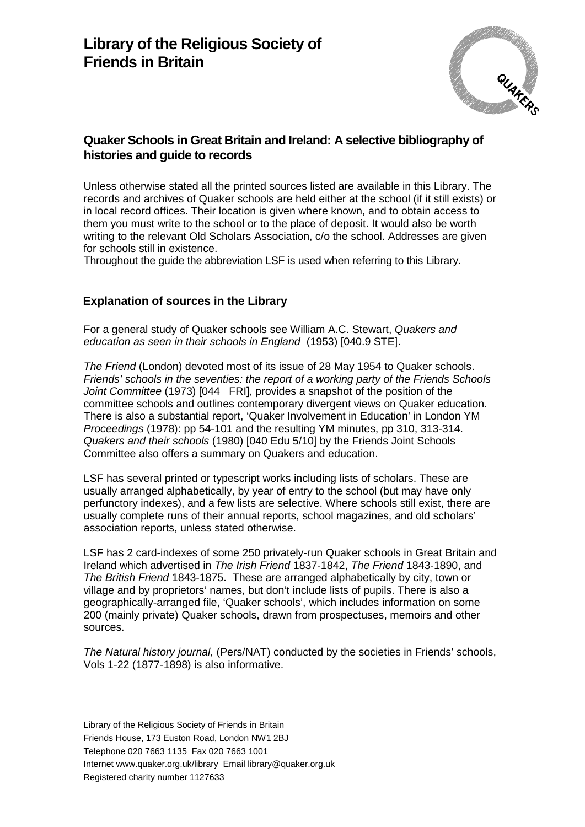

# **Quaker Schools in Great Britain and Ireland: A selective bibliography of histories and guide to records**

Unless otherwise stated all the printed sources listed are available in this Library. The records and archives of Quaker schools are held either at the school (if it still exists) or in local record offices. Their location is given where known, and to obtain access to them you must write to the school or to the place of deposit. It would also be worth writing to the relevant Old Scholars Association, c/o the school. Addresses are given for schools still in existence.

Throughout the guide the abbreviation LSF is used when referring to this Library.

### **Explanation of sources in the Library**

For a general study of Quaker schools see William A.C. Stewart, *Quakers and education as seen in their schools in England* (1953) [040.9 STE].

*The Friend* (London) devoted most of its issue of 28 May 1954 to Quaker schools. *Friends' schools in the seventies: the report of a working party of the Friends Schools Joint Committee* (1973) [044 FRI], provides a snapshot of the position of the committee schools and outlines contemporary divergent views on Quaker education. There is also a substantial report, 'Quaker Involvement in Education' in London YM *Proceedings* (1978): pp 54-101 and the resulting YM minutes, pp 310, 313-314. *Quakers and their schools* (1980) [040 Edu 5/10] by the Friends Joint Schools Committee also offers a summary on Quakers and education.

LSF has several printed or typescript works including lists of scholars. These are usually arranged alphabetically, by year of entry to the school (but may have only perfunctory indexes), and a few lists are selective. Where schools still exist, there are usually complete runs of their annual reports, school magazines, and old scholars' association reports, unless stated otherwise.

LSF has 2 card-indexes of some 250 privately-run Quaker schools in Great Britain and Ireland which advertised in *The Irish Friend* 1837-1842, *The Friend* 1843-1890, and *The British Friend* 1843-1875. These are arranged alphabetically by city, town or village and by proprietors' names, but don't include lists of pupils. There is also a geographically-arranged file, 'Quaker schools', which includes information on some 200 (mainly private) Quaker schools, drawn from prospectuses, memoirs and other sources.

*The Natural history journal*, (Pers/NAT) conducted by the societies in Friends' schools, Vols 1-22 (1877-1898) is also informative.

Library of the Religious Society of Friends in Britain Friends House, 173 Euston Road, London NW1 2BJ Telephone 020 7663 1135 Fax 020 7663 1001 Internet www.quaker.org.uk/library Email library@quaker.org.uk Registered charity number 1127633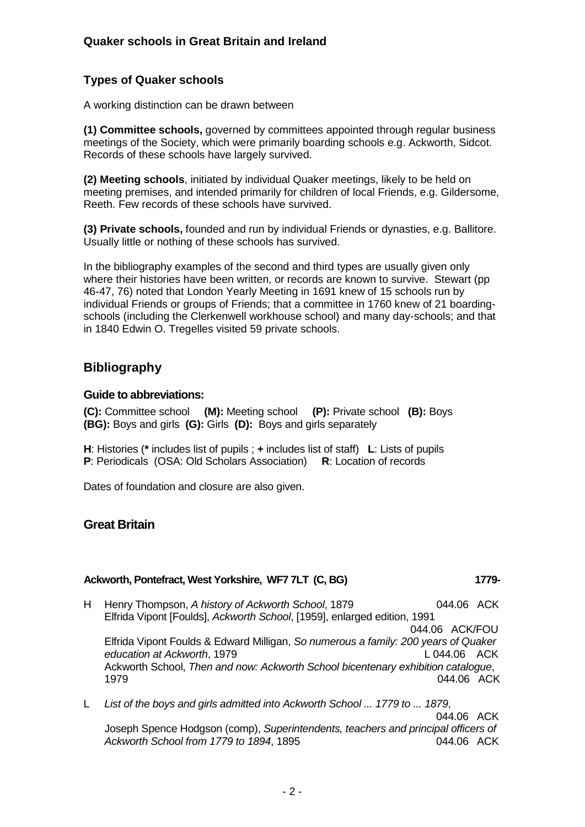# **Types of Quaker schools**

A working distinction can be drawn between

**(1) Committee schools,** governed by committees appointed through regular business meetings of the Society, which were primarily boarding schools e.g. Ackworth, Sidcot. Records of these schools have largely survived.

**(2) Meeting schools**, initiated by individual Quaker meetings, likely to be held on meeting premises, and intended primarily for children of local Friends, e.g. Gildersome, Reeth. Few records of these schools have survived.

**(3) Private schools,** founded and run by individual Friends or dynasties, e.g. Ballitore. Usually little or nothing of these schools has survived.

In the bibliography examples of the second and third types are usually given only where their histories have been written, or records are known to survive. Stewart (pp 46-47, 76) noted that London Yearly Meeting in 1691 knew of 15 schools run by individual Friends or groups of Friends; that a committee in 1760 knew of 21 boardingschools (including the Clerkenwell workhouse school) and many day-schools; and that in 1840 Edwin O. Tregelles visited 59 private schools.

# **Bibliography**

#### **Guide to abbreviations:**

**(C):** Committee school **(M):** Meeting school **(P):** Private school **(B):** Boys **(BG):** Boys and girls **(G):** Girls **(D):** Boys and girls separately

**H**: Histories (**\*** includes list of pupils ; **+** includes list of staff) **L**: Lists of pupils **P**: Periodicals (OSA: Old Scholars Association) **R**: Location of records

Dates of foundation and closure are also given.

# **Great Britain**

### **Ackworth, Pontefract, West Yorkshire, WF7 7LT (C, BG) 1779-**

- H Henry Thompson, *A history of Ackworth School*, 1879 044.06 ACK Elfrida Vipont [Foulds], *Ackworth School*, [1959], enlarged edition, 1991 044.06 ACK/FOU Elfrida Vipont Foulds & Edward Milligan, *So numerous a family: 200 years of Quaker education at Ackworth*, 1979 **L** 044.06 ACK Ackworth School, *Then and now: Ackworth School bicentenary exhibition catalogue*, 1979 044.06 ACK
- L *List of the boys and girls admitted into Ackworth School ... 1779 to ... 1879*, 044.06 ACK Joseph Spence Hodgson (comp), *Superintendents, teachers and principal officers of Ackworth School from 1779 to 1894*, 1895 044.06 ACK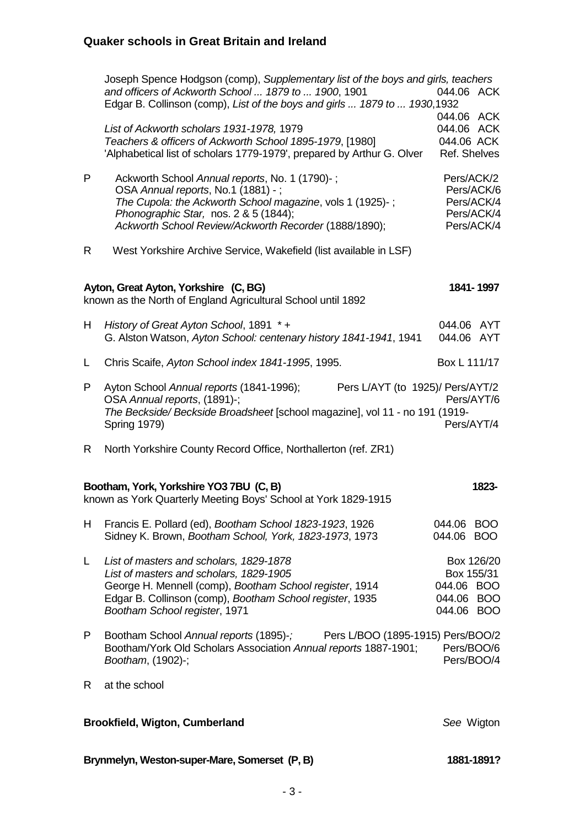| Brynmelyn, Weston-super-Mare, Somerset (P, B)                                                                      |                                                                                                                                                                                                                                                     | 1881-1891?                                                         |  |
|--------------------------------------------------------------------------------------------------------------------|-----------------------------------------------------------------------------------------------------------------------------------------------------------------------------------------------------------------------------------------------------|--------------------------------------------------------------------|--|
|                                                                                                                    | <b>Brookfield, Wigton, Cumberland</b>                                                                                                                                                                                                               | See Wigton                                                         |  |
| R.                                                                                                                 | at the school                                                                                                                                                                                                                                       |                                                                    |  |
| P                                                                                                                  | Bootham School Annual reports (1895)-; Pers L/BOO (1895-1915) Pers/BOO/2<br>Bootham/York Old Scholars Association Annual reports 1887-1901;<br>Bootham, (1902)-;                                                                                    | Pers/BOO/6<br>Pers/BOO/4                                           |  |
| L.                                                                                                                 | List of masters and scholars, 1829-1878<br>List of masters and scholars, 1829-1905<br>George H. Mennell (comp), Bootham School register, 1914<br>Edgar B. Collinson (comp), Bootham School register, 1935<br>Bootham School register, 1971          | Box 126/20<br>Box 155/31<br>044.06 BOO<br>044.06 BOO<br>044.06 BOO |  |
| H.                                                                                                                 | Francis E. Pollard (ed), Bootham School 1823-1923, 1926<br>Sidney K. Brown, Bootham School, York, 1823-1973, 1973                                                                                                                                   | 044.06 BOO<br>044.06 BOO                                           |  |
| Bootham, York, Yorkshire YO3 7BU (C, B)<br>1823-<br>known as York Quarterly Meeting Boys' School at York 1829-1915 |                                                                                                                                                                                                                                                     |                                                                    |  |
| R.                                                                                                                 | North Yorkshire County Record Office, Northallerton (ref. ZR1)                                                                                                                                                                                      |                                                                    |  |
| P                                                                                                                  | Ayton School Annual reports (1841-1996);<br>Pers L/AYT (to 1925)/ Pers/AYT/2<br>OSA Annual reports, (1891)-;<br>The Beckside/Beckside Broadsheet [school magazine], vol 11 - no 191 (1919-<br><b>Spring 1979)</b>                                   | Pers/AYT/6<br>Pers/AYT/4                                           |  |
| L                                                                                                                  | Chris Scaife, Ayton School index 1841-1995, 1995.                                                                                                                                                                                                   | Box L 111/17                                                       |  |
| H.                                                                                                                 | History of Great Ayton School, 1891 *+<br>G. Alston Watson, Ayton School: centenary history 1841-1941, 1941                                                                                                                                         | 044.06 AYT<br>044.06 AYT                                           |  |
|                                                                                                                    | Ayton, Great Ayton, Yorkshire (C, BG)<br>known as the North of England Agricultural School until 1892                                                                                                                                               | 1841-1997                                                          |  |
| R.                                                                                                                 | West Yorkshire Archive Service, Wakefield (list available in LSF)                                                                                                                                                                                   |                                                                    |  |
| P                                                                                                                  | Ackworth School Annual reports, No. 1 (1790)-;<br>OSA Annual reports, No.1 (1881) -;<br>The Cupola: the Ackworth School magazine, vols 1 (1925)-;<br>Phonographic Star, nos. 2 & 5 (1844);<br>Ackworth School Review/Ackworth Recorder (1888/1890); | Pers/ACK/2<br>Pers/ACK/6<br>Pers/ACK/4<br>Pers/ACK/4<br>Pers/ACK/4 |  |
|                                                                                                                    | List of Ackworth scholars 1931-1978, 1979<br>Teachers & officers of Ackworth School 1895-1979, [1980]<br>'Alphabetical list of scholars 1779-1979', prepared by Arthur G. Olver                                                                     | 044.06 ACK<br>044.06 ACK<br>044.06 ACK<br>Ref. Shelves             |  |
|                                                                                                                    | Joseph Spence Hodgson (comp), Supplementary list of the boys and girls, teachers<br>and officers of Ackworth School  1879 to  1900, 1901<br>Edgar B. Collinson (comp), List of the boys and girls  1879 to  1930,1932                               | 044.06 ACK                                                         |  |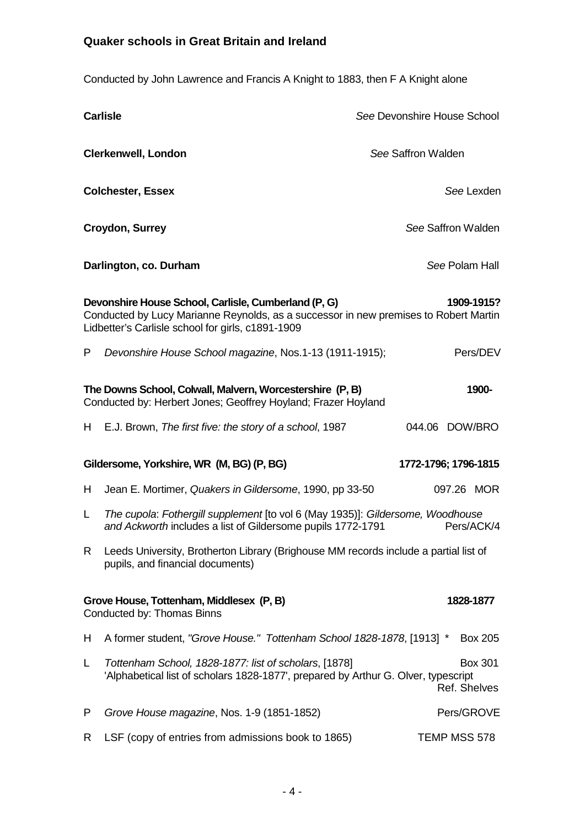Conducted by John Lawrence and Francis A Knight to 1883, then F A Knight alone

|                                                                                                                                                                                                                 | <b>Carlisle</b>                                                                                                                               | See Devonshire House School    |  |  |
|-----------------------------------------------------------------------------------------------------------------------------------------------------------------------------------------------------------------|-----------------------------------------------------------------------------------------------------------------------------------------------|--------------------------------|--|--|
|                                                                                                                                                                                                                 | <b>Clerkenwell, London</b>                                                                                                                    | See Saffron Walden             |  |  |
|                                                                                                                                                                                                                 | <b>Colchester, Essex</b>                                                                                                                      | See Lexden                     |  |  |
| <b>Croydon, Surrey</b>                                                                                                                                                                                          |                                                                                                                                               | See Saffron Walden             |  |  |
|                                                                                                                                                                                                                 | See Polam Hall<br>Darlington, co. Durham                                                                                                      |                                |  |  |
| Devonshire House School, Carlisle, Cumberland (P, G)<br>1909-1915?<br>Conducted by Lucy Marianne Reynolds, as a successor in new premises to Robert Martin<br>Lidbetter's Carlisle school for girls, c1891-1909 |                                                                                                                                               |                                |  |  |
| P                                                                                                                                                                                                               | Devonshire House School magazine, Nos.1-13 (1911-1915);                                                                                       | Pers/DEV                       |  |  |
| The Downs School, Colwall, Malvern, Worcestershire (P, B)<br>1900-<br>Conducted by: Herbert Jones; Geoffrey Hoyland; Frazer Hoyland                                                                             |                                                                                                                                               |                                |  |  |
| H                                                                                                                                                                                                               | E.J. Brown, The first five: the story of a school, 1987                                                                                       | 044.06 DOW/BRO                 |  |  |
| Gildersome, Yorkshire, WR (M, BG) (P, BG)<br>1772-1796; 1796-1815                                                                                                                                               |                                                                                                                                               |                                |  |  |
| H.                                                                                                                                                                                                              | Jean E. Mortimer, Quakers in Gildersome, 1990, pp 33-50                                                                                       | 097.26 MOR                     |  |  |
| L                                                                                                                                                                                                               | The cupola: Fothergill supplement [to vol 6 (May 1935)]: Gildersome, Woodhouse<br>and Ackworth includes a list of Gildersome pupils 1772-1791 | Pers/ACK/4                     |  |  |
| R.                                                                                                                                                                                                              | Leeds University, Brotherton Library (Brighouse MM records include a partial list of<br>pupils, and financial documents)                      |                                |  |  |
| Grove House, Tottenham, Middlesex (P, B)<br>1828-1877<br>Conducted by: Thomas Binns                                                                                                                             |                                                                                                                                               |                                |  |  |
| H                                                                                                                                                                                                               | A former student, "Grove House." Tottenham School 1828-1878, [1913] *                                                                         | <b>Box 205</b>                 |  |  |
| L                                                                                                                                                                                                               | Tottenham School, 1828-1877: list of scholars, [1878]<br>'Alphabetical list of scholars 1828-1877', prepared by Arthur G. Olver, typescript   | <b>Box 301</b><br>Ref. Shelves |  |  |
| P                                                                                                                                                                                                               | Grove House magazine, Nos. 1-9 (1851-1852)                                                                                                    | Pers/GROVE                     |  |  |
| R                                                                                                                                                                                                               | LSF (copy of entries from admissions book to 1865)                                                                                            | TEMP MSS 578                   |  |  |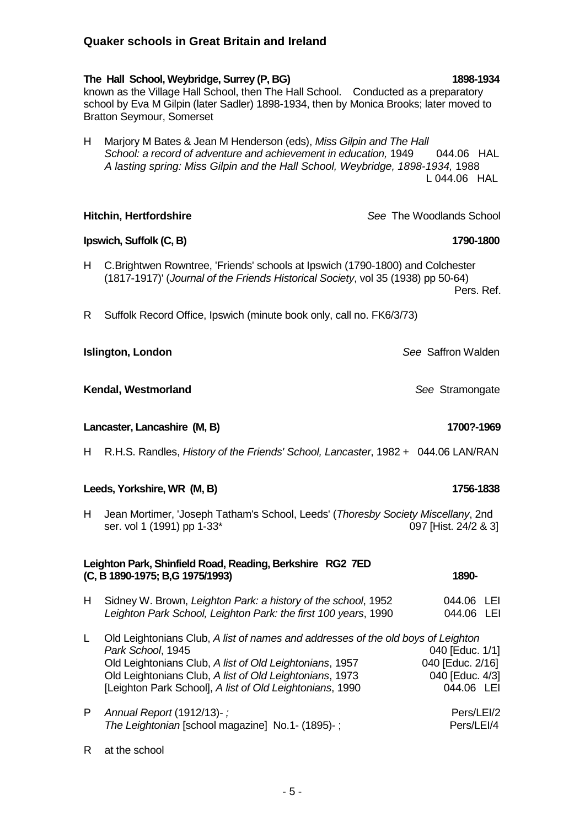**The Hall School, Weybridge, Surrey (P, BG) 1898-1934** known as the Village Hall School, then The Hall School. Conducted as a preparatory school by Eva M Gilpin (later Sadler) 1898-1934, then by Monica Brooks; later moved to Bratton Seymour, Somerset

H Marjory M Bates & Jean M Henderson (eds), *Miss Gilpin and The Hall*  School: a record of adventure and achievement in education, 1949 044.06 HAL  *A lasting spring: Miss Gilpin and the Hall School, Weybridge, 1898-1934,* 1988 L 044.06 HAL

**Hitchin, Hertfordshire** *See* The Woodlands School **Ipswich, Suffolk (C, B)** 1790-1800 H C.Brightwen Rowntree, 'Friends' schools at Ipswich (1790-1800) and Colchester (1817-1917)' (*Journal of the Friends Historical Society*, vol 35 (1938) pp 50-64) Pers. Ref.

R Suffolk Record Office, Ipswich (minute book only, call no. FK6/3/73)

**Islington, London** *See* Saffron Walden

**Kendal, Westmorland** See Stramongate

**Lancaster, Lancashire (M, B) 1700?-1969**

H R.H.S. Randles, *History of the Friends' School, Lancaster*, 1982 + 044.06 LAN/RAN

**Leeds, Yorkshire, WR (M, B) 1756-1838**

H Jean Mortimer, 'Joseph Tatham's School, Leeds' (*Thoresby Society Miscellany*, 2nd ser. vol 1 (1991) pp 1-33\* 097 [Hist. 24/2 & 3]

## **Leighton Park, Shinfield Road, Reading, Berkshire RG2 7ED (C, B 1890-1975; B,G 1975/1993) 1890-**

H Sidney W. Brown, *Leighton Park: a history of the school*, 1952 044.06 LEI *Leighton Park School, Leighton Park: the first 100 years*, 1990 044.06 LEI

L Old Leightonians Club, *A list of names and addresses of the old boys of Leighton Park School*, 1945<br>Old Leightonians Club. *A list of Old Leightonians*. 1957 040 [Educ. 2/16] Old Leightonians Club, *A list of Old Leightonians*, 1957 Old Leightonians Club, *A list of Old Leightonians*, 1973 040 [Educ. 4/3] [Leighton Park School], *A list of Old Leightonians*, 1990.

P *Annual Report* (1912/13)- *;* Pers/LEI/2 *The Leightonian* [school magazine] No.1- (1895)-; Pers/LEI/4

R at the school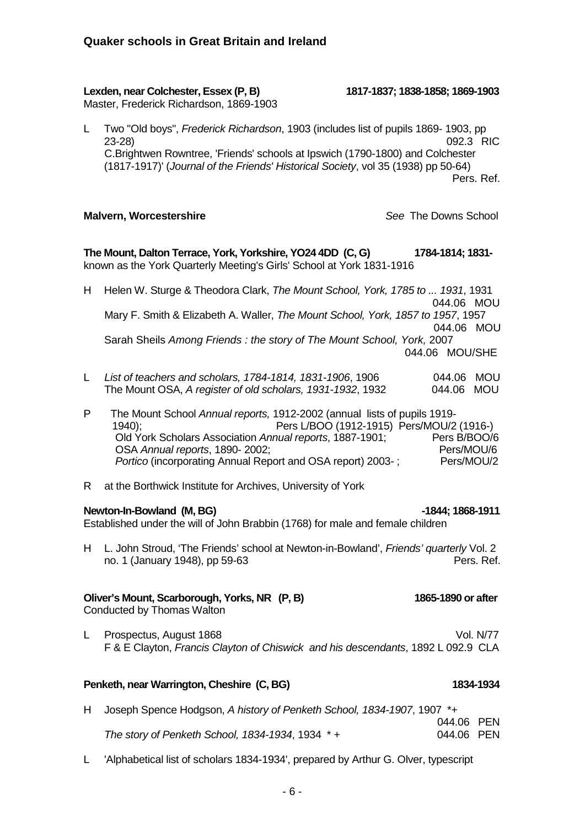#### **Lexden, near Colchester, Essex (P, B) 1817-1837; 1838-1858; 1869-1903**

Master, Frederick Richardson, 1869-1903

L Two "Old boys", *Frederick Richardson*, 1903 (includes list of pupils 1869- 1903, pp 23-28) 092.3 RIC C.Brightwen Rowntree, 'Friends' schools at Ipswich (1790-1800) and Colchester (1817-1917)' (*Journal of the Friends' Historical Society*, vol 35 (1938) pp 50-64) Pers. Ref.

#### **Malvern, Worcestershire** *See* The Downs School

**The Mount, Dalton Terrace, York, Yorkshire, YO24 4DD (C, G) 1784-1814; 1831**  known as the York Quarterly Meeting's Girls' School at York 1831-1916

- H Helen W. Sturge & Theodora Clark, *The Mount School, York, 1785 to ... 1931*, 1931 044.06 MOU Mary F. Smith & Elizabeth A. Waller, *The Mount School, York, 1857 to 1957*, 1957 044.06 MOU Sarah Sheils *Among Friends : the story of The Mount School, York,* 2007 044.06 MOU/SHE
- L *List of teachers and scholars, 1784-1814, 1831-1906*, 1906 044.06 MOU The Mount OSA, *A register of old scholars, 1931-1932*, 1932 044.06 MOU
- P The Mount School *Annual reports,* 1912-2002 (annual lists of pupils 1919- 1940); Pers L/BOO (1912-1915) Pers/MOU/2 (1916-) Old York Scholars Association *Annual reports*, 1887-1901; Pers B/BOO/6<br>OSA *Annual reports*, 1890-2002; Pers/MOU/6 OSA *Annual reports*, 1890-2002;<br>Portico (incorporating Annual Report and OSA report) 2003-: Pers/MOU/2 *Portico* (incorporating Annual Report and OSA report) 2003-;
- R at the Borthwick Institute for Archives, University of York

#### **Newton-In-Bowland (M, BG)**  $\qquad \qquad$ 1844; 1868-1911

Established under the will of John Brabbin (1768) for male and female children

H L. John Stroud, 'The Friends' school at Newton-in-Bowland', *Friends' quarterly* Vol. 2 no. 1 (January 1948), pp 59-63 **Pers. Ref.** Pers. Ref.

#### **Oliver's Mount, Scarborough, Yorks, NR (P, B) 1865-1890 or after**

Conducted by Thomas Walton

L Prospectus, August 1868 **Vol. N/77** Vol. N/77 F & E Clayton, *Francis Clayton of Chiswick and his descendants*, 1892 L 092.9 CLA

#### **Penketh, near Warrington, Cheshire (C, BG) 1834-1934**

H Joseph Spence Hodgson, *A history of Penketh School, 1834-1907*, 1907 \*+

044.06 PEN *The story of Penketh School, 1834-1934*, 1934 \* + 044.06 PEN

L 'Alphabetical list of scholars 1834-1934', prepared by Arthur G. Olver, typescript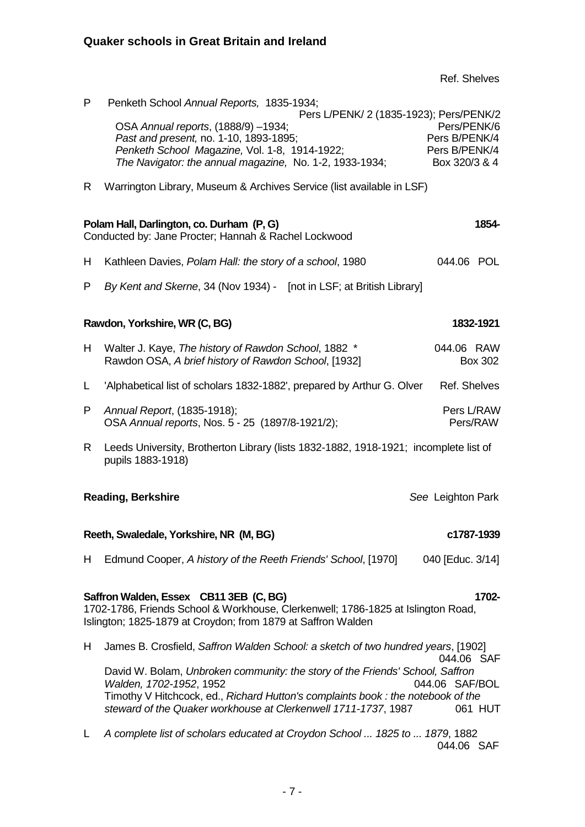Ref. Shelves

| P                                              | Penketh School Annual Reports, 1835-1934;<br>Pers L/PENK/ 2 (1835-1923); Pers/PENK/2                                                              |                  |  |  |
|------------------------------------------------|---------------------------------------------------------------------------------------------------------------------------------------------------|------------------|--|--|
|                                                | OSA Annual reports, (1888/9) -1934;                                                                                                               | Pers/PENK/6      |  |  |
|                                                | Past and present, no. 1-10, 1893-1895;                                                                                                            | Pers B/PENK/4    |  |  |
|                                                | Penketh School Magazine, Vol. 1-8, 1914-1922;                                                                                                     | Pers B/PENK/4    |  |  |
|                                                | The Navigator: the annual magazine, No. 1-2, 1933-1934;                                                                                           | Box 320/3 & 4    |  |  |
| R.                                             | Warrington Library, Museum & Archives Service (list available in LSF)                                                                             |                  |  |  |
|                                                | Polam Hall, Darlington, co. Durham (P, G)                                                                                                         | 1854-            |  |  |
|                                                | Conducted by: Jane Procter; Hannah & Rachel Lockwood                                                                                              |                  |  |  |
| H                                              | Kathleen Davies, Polam Hall: the story of a school, 1980                                                                                          | 044.06 POL       |  |  |
| P                                              | By Kent and Skerne, 34 (Nov 1934) - [not in LSF; at British Library]                                                                              |                  |  |  |
|                                                | Rawdon, Yorkshire, WR (C, BG)                                                                                                                     | 1832-1921        |  |  |
| H.                                             | Walter J. Kaye, The history of Rawdon School, 1882 *                                                                                              | 044.06 RAW       |  |  |
|                                                | Rawdon OSA, A brief history of Rawdon School, [1932]                                                                                              | <b>Box 302</b>   |  |  |
| L                                              | 'Alphabetical list of scholars 1832-1882', prepared by Arthur G. Olver                                                                            | Ref. Shelves     |  |  |
| P                                              | Annual Report, (1835-1918);                                                                                                                       | Pers L/RAW       |  |  |
|                                                | OSA Annual reports, Nos. 5 - 25 (1897/8-1921/2);                                                                                                  | Pers/RAW         |  |  |
| R.                                             | Leeds University, Brotherton Library (lists 1832-1882, 1918-1921; incomplete list of<br>pupils 1883-1918)                                         |                  |  |  |
| <b>Reading, Berkshire</b><br>See Leighton Park |                                                                                                                                                   |                  |  |  |
|                                                | Reeth, Swaledale, Yorkshire, NR (M, BG)<br>c1787-1939                                                                                             |                  |  |  |
|                                                |                                                                                                                                                   |                  |  |  |
| H.                                             | Edmund Cooper, A history of the Reeth Friends' School, [1970]                                                                                     | 040 [Educ. 3/14] |  |  |
|                                                | Saffron Walden, Essex CB11 3EB (C, BG)                                                                                                            | 1702-            |  |  |
|                                                | 1702-1786, Friends School & Workhouse, Clerkenwell; 1786-1825 at Islington Road,<br>Islington; 1825-1879 at Croydon; from 1879 at Saffron Walden  |                  |  |  |
| H.                                             | James B. Crosfield, Saffron Walden School: a sketch of two hundred years, [1902]                                                                  | 044.06 SAF       |  |  |
|                                                | David W. Bolam, Unbroken community: the story of the Friends' School, Saffron                                                                     |                  |  |  |
|                                                | Walden, 1702-1952, 1952                                                                                                                           | 044.06 SAF/BOL   |  |  |
|                                                | Timothy V Hitchcock, ed., Richard Hutton's complaints book: the notebook of the<br>steward of the Quaker workhouse at Clerkenwell 1711-1737, 1987 | 061 HUT          |  |  |
|                                                |                                                                                                                                                   |                  |  |  |
| L                                              | A complete list of scholars educated at Croydon School  1825 to  1879, 1882                                                                       | 044.06 SAF       |  |  |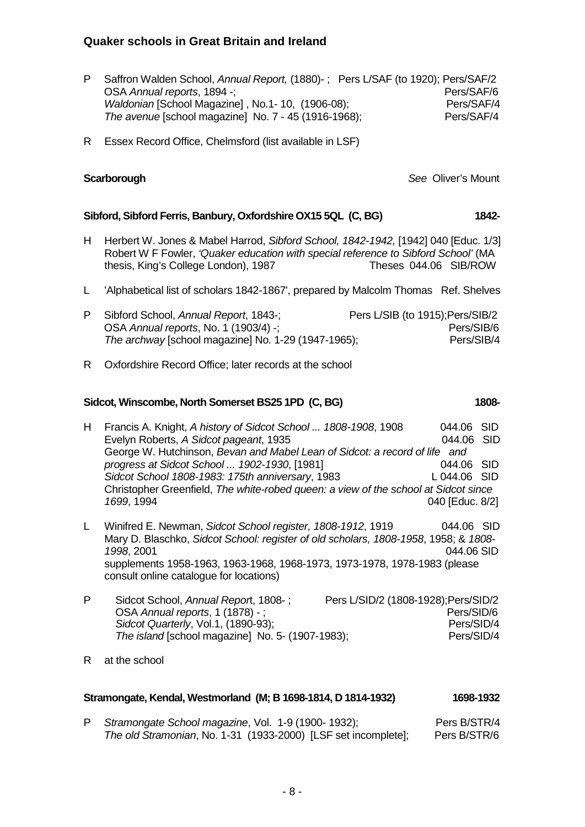- P Saffron Walden School, *Annual Report,* (1880)- ; Pers L/SAF (to 1920); Pers/SAF/2 OSA *Annual reports*, 1894 -;<br>
Waldonian ISchool Magazinel . No.1- 10. (1906-08): Pers/SAF/4 *Waldonian* [School Magazine], No.1- 10, (1906-08); Pers/SAF/4<br>
The avenue Ischool magazine] No. 7 - 45 (1916-1968); Pers/SAF/4 *The avenue* [school magazine] No. 7 - 45 (1916-1968);
- R Essex Record Office, Chelmsford (list available in LSF)

### **Scarborough** *See* Oliver's Mount

### **Sibford, Sibford Ferris, Banbury, Oxfordshire OX15 5QL (C, BG) 1842-**

- H Herbert W. Jones & Mabel Harrod, *Sibford School, 1842-1942,* [1942] 040 [Educ. 1/3] Robert W F Fowler, *'Quaker education with special reference to Sibford School'* (MA thesis, King's College London), 1987 Theses 044.06 SIB/ROW
- L 'Alphabetical list of scholars 1842-1867', prepared by Malcolm Thomas Ref. Shelves

| P Sibford School, Annual Report, 1843-;             | Pers L/SIB (to 1915); Pers/SIB/2 |
|-----------------------------------------------------|----------------------------------|
| OSA Annual reports, No. 1 (1903/4) -;               | Pers/SIB/6                       |
| The archway [school magazine] No. 1-29 (1947-1965); | Pers/SIB/4                       |

R Oxfordshire Record Office; later records at the school

#### **Sidcot, Winscombe, North Somerset BS25 1PD (C, BG) 1808-**

- H Francis A. Knight, *A history of Sidcot School ... 1808-1908*, 1908 044.06 SID Evelyn Roberts, *A Sidcot pageant*, 1935 044.06 SID George W. Hutchinson, *Bevan and Mabel Lean of Sidcot: a record of life and progress at Sidcot School ... 1902-1930*, [1981] 044.06 SID *Sidcot School 1808-1983: 175th anniversary*, 1983 L 044.06 SID Christopher Greenfield, *The white-robed queen: a view of the school at Sidcot since 1699*, 1994 040 [Educ. 8/2]
- L Winifred E. Newman, *Sidcot School register, 1808-1912*, 1919 044.06 SID Mary D. Blaschko, *Sidcot School: register of old scholars, 1808-1958*, 1958; & *1808- 1998*, 2001 044.06 SID supplements 1958-1963, 1963-1968, 1968-1973, 1973-1978, 1978-1983 (please consult online catalogue for locations)
- P Sidcot School, *Annual Repor*t, 1808- ; Pers L/SID/2 (1808-1928);Pers/SID/2 OSA *Annual reports*, 1 (1878) - ;<br>
Sidcot Quarterly, Vol.1, (1890-93):<br>
Pers/SID/4 *Sidcot Quarterly*, Vol.1, (1890-93); *The island* [school magazine] No. 5- (1907-1983); Pers/SID/4
- R at the school

#### **Stramongate, Kendal, Westmorland (M; B 1698-1814, D 1814-1932) 1698-1932**

P Stramongate School magazine, Vol. 1-9 (1900- 1932); Pers B/STR/4 *The old Stramonian*, No. 1-31 (1933-2000) [LSF set incomplete]; Pers B/STR/6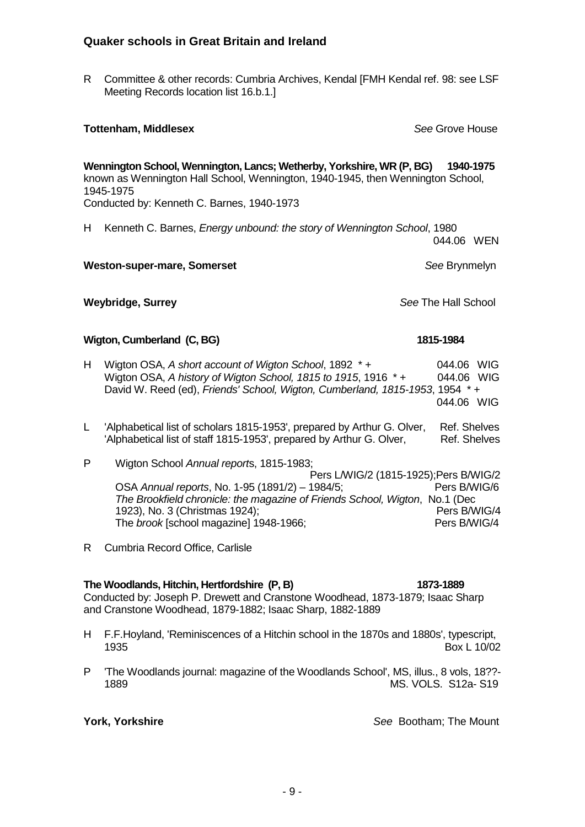R Committee & other records: Cumbria Archives, Kendal [FMH Kendal ref. 98: see LSF Meeting Records location list 16.b.1.]

**Tottenham, Middlesex** *See* Grove House

**Wennington School, Wennington, Lancs; Wetherby, Yorkshire, WR (P, BG) 1940-1975** known as Wennington Hall School, Wennington, 1940-1945, then Wennington School, 1945-1975

Conducted by: Kenneth C. Barnes, 1940-1973

H Kenneth C. Barnes, *Energy unbound: the story of Wennington School*, 1980 044.06 WEN

**Weston-super-mare, Somerset** *See* Brynmelyn

**Weybridge, Surrey** *See* The Hall School

#### **Wigton, Cumberland (C, BG)** 1815-1984

- H Wigton OSA, *A short account of Wigton School*, 1892 \* + 044.06 WIG Wigton OSA, *A history of Wigton School, 1815 to 1915*, 1916 \* + 044.06 WIG David W. Reed (ed), *Friends' School, Wigton, Cumberland, 1815-1953*, 1954 \* + 044.06 WIG
- L 'Alphabetical list of scholars 1815-1953', prepared by Arthur G. Olver, Ref. Shelves 'Alphabetical list of staff 1815-1953', prepared by Arthur G. Olver, Ref. Shelves
- P Wigton School *Annual report*s, 1815-1983; Pers L/WIG/2 (1815-1925);Pers B/WIG/2 OSA *Annual reports*, No. 1-95 (1891/2) – 1984/5; Pers B/WIG/6 *The Brookfield chronicle: the magazine of Friends School, Wigton*, No.1 (Dec 1923), No. 3 (Christmas 1924);<br>The *brook* Ischool magazinel 1948-1966:<br>Pers B/WIG/4 The *brook* [school magazine] 1948-1966;
- R Cumbria Record Office, Carlisle

#### **The Woodlands, Hitchin, Hertfordshire (P, B) 1873-1889**

Conducted by: Joseph P. Drewett and Cranstone Woodhead, 1873-1879; Isaac Sharp and Cranstone Woodhead, 1879-1882; Isaac Sharp, 1882-1889

- H F.F.Hoyland, 'Reminiscences of a Hitchin school in the 1870s and 1880s', typescript, 1935 Box L 10/02
- P 'The Woodlands journal: magazine of the Woodlands School', MS, illus., 8 vols, 18??- MS. VOLS. S12a- S19

**York, Yorkshire** *See* Bootham; The Mount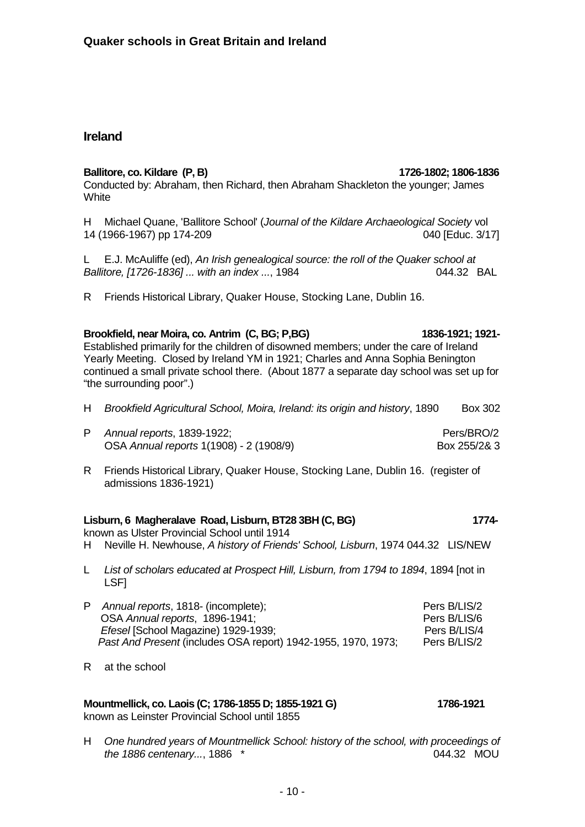# **Ireland**

### **Ballitore, co. Kildare (P, B) 1726-1802; 1806-1836**

Conducted by: Abraham, then Richard, then Abraham Shackleton the younger; James **White** 

H Michael Quane, 'Ballitore School' (*Journal of the Kildare Archaeological Society* vol 14 (1966-1967) pp 174-209 040 [Educ. 3/17]

L E.J. McAuliffe (ed), *An Irish genealogical source: the roll of the Quaker school at Ballitore, [1726-1836] ... with an index ...*, 1984.

R Friends Historical Library, Quaker House, Stocking Lane, Dublin 16.

# **Brookfield, near Moira, co. Antrim (C, BG; P,BG) 1836-1921; 1921-**

Established primarily for the children of disowned members; under the care of Ireland Yearly Meeting. Closed by Ireland YM in 1921; Charles and Anna Sophia Benington continued a small private school there. (About 1877 a separate day school was set up for "the surrounding poor".)

- H *Brookfield Agricultural School, Moira, Ireland: its origin and history*, 1890 Box 302
- P *Annual reports*, 1839-1922; Pers/BRO/2 OSA *Annual reports* 1(1908) - 2 (1908/9) Box 255/2& 3
- R Friends Historical Library, Quaker House, Stocking Lane, Dublin 16. (register of admissions 1836-1921)

# **Lisburn, 6 Magheralave Road, Lisburn, BT28 3BH (C, BG) 1774-**

known as Ulster Provincial School until 1914

H Neville H. Newhouse, *A history of Friends' School, Lisburn*, 1974 044.32 LIS/NEW

- L *List of scholars educated at Prospect Hill, Lisburn, from 1794 to 1894*, 1894 [not in LSF]
- P *Annual reports*, 1818- (incomplete);<br>OSA *Annual reports*. 1896-1941: Pers B/LIS/6 OSA *Annual reports*, 1896-1941;<br> *Efesel* ISchool Magazine) 1929-1939:<br>
Pers B/LIS/4 *Efesel* [School Magazine) 1929-1939;<br>Past And Present (includes OSA report) 1942-1955, 1970, 1973: Pers B/LIS/2 *Past And Present* (includes OSA report) 1942-1955, 1970, 1973;
- R at the school

#### **Mountmellick, co. Laois (C; 1786-1855 D; 1855-1921 G) 1786-1921** known as Leinster Provincial School until 1855

H *One hundred years of Mountmellick School: history of the school, with proceedings of the 1886 centenary...*, 1886 \* 044.32 MOU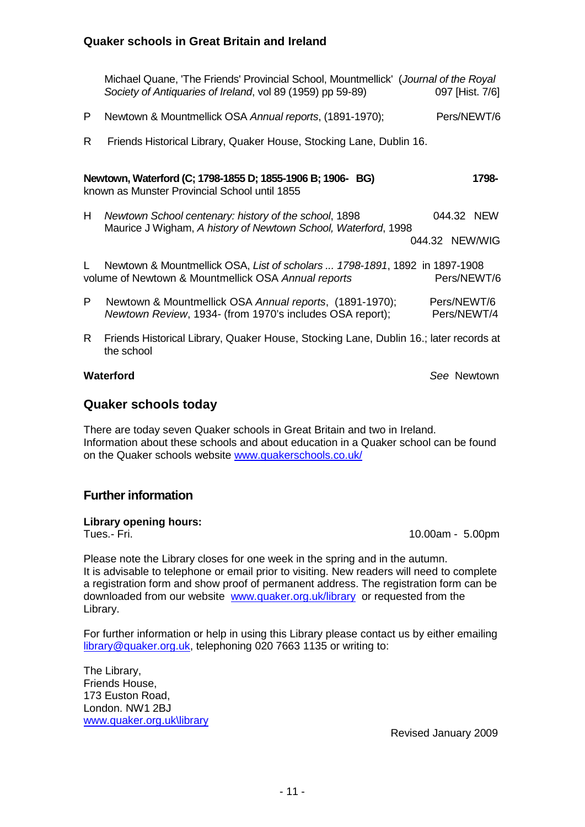|    | Michael Quane, 'The Friends' Provincial School, Mountmellick' (Journal of the Royal<br>Society of Antiquaries of Ireland, vol 89 (1959) pp 59-89) | 097 [Hist. 7/6]            |             |
|----|---------------------------------------------------------------------------------------------------------------------------------------------------|----------------------------|-------------|
| P. | Newtown & Mountmellick OSA Annual reports, (1891-1970);                                                                                           |                            | Pers/NEWT/6 |
| R. | Friends Historical Library, Quaker House, Stocking Lane, Dublin 16.                                                                               |                            |             |
|    | Newtown, Waterford (C; 1798-1855 D; 1855-1906 B; 1906- BG)<br>known as Munster Provincial School until 1855                                       |                            | 1798-       |
| H. | Newtown School centenary: history of the school, 1898                                                                                             | 044.32 NEW                 |             |
|    | Maurice J Wigham, A history of Newtown School, Waterford, 1998                                                                                    | 044.32 NEW/WIG             |             |
| L. | Newtown & Mountmellick OSA, List of scholars  1798-1891, 1892 in 1897-1908<br>volume of Newtown & Mountmellick OSA Annual reports                 | Pers/NEWT/6                |             |
| P  | Newtown & Mountmellick OSA Annual reports, (1891-1970);<br>Newtown Review, 1934- (from 1970's includes OSA report);                               | Pers/NEWT/6<br>Pers/NEWT/4 |             |
| R. | Friends Historical Library, Quaker House, Stocking Lane, Dublin 16.; later records at<br>the school                                               |                            |             |
|    | Waterford                                                                                                                                         | See Newtown                |             |

#### **Quaker schools today**

There are today seven Quaker schools in Great Britain and two in Ireland. Information about these schools and about education in a Quaker school can be found on the Quaker schools website [www.quakerschools.co.uk/](http://www.quakerschools.co.uk/)

### **Further information**

# **Library opening hours:**

10.00am - 5.00pm

Please note the Library closes for one week in the spring and in the autumn. It is advisable to telephone or email prior to visiting. New readers will need to complete a registration form and show proof of permanent address. The registration form can be downloaded from our website [www.quaker.org.uk/library](http://www.quaker.org.uk/library) or requested from the Library.

For further information or help in using this Library please contact us by either emailing [library@quaker.org.uk,](mailto:library@quaker.org.uk) telephoning 020 7663 1135 or writing to:

The Library, Friends House, 173 Euston Road, London. NW1 2BJ [www.quaker.org.uk\library](http://www.quaker.org.uk/library) 

Revised January 2009